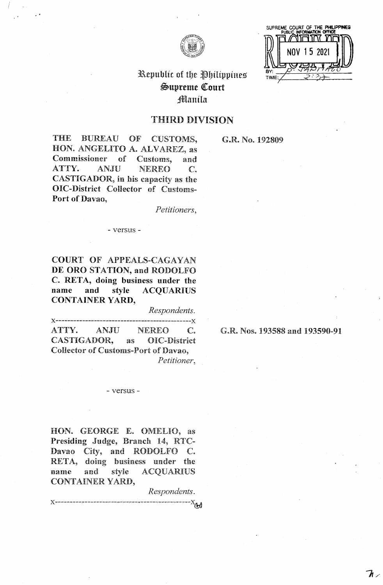



# Republic of the Philippines  $\mathfrak{S}$ upreme Court jffilanila

# THIRD DIVISION

THE BUREAU OF CUSTOMS, HON. ANGELITO A. ALVAREZ, as Commissioner of Customs, and ATTY. ANJU NEREO C. CASTIGADOR, in his capacity as the **OIC-District** Collector of Customs-**Port of Davao,** 

*Petitioners,* 

### - versus -

**COURT** OF APPEALS-CAGAYAN **DE ORO STATION, and** RODOLFO **C. RETA, doing business under the name and style ACQUARIUS CONTAINER YARD,** 

*Respondents.*  **x------------------------------ ---------------x**  ATTY. ANJU NEREO C. CASTIGADOR, as OIC-District Collector of Customs-Port of Davao, *Petitioner,* 

### - versus -

HON. GEORGE E. OMELIO, as Presiding Judge, Branch 14, RTC-Davao City, and RODOLFO C. RETA, doing business under the name and style ACQUARIUS CONTAINER YARD,

*Respondents.* 

 $-X_{\bigoplus}$ 

### G.R. No. 192809

G.R. Nos. 193588 and 193590-91

 ${\mathcal T}$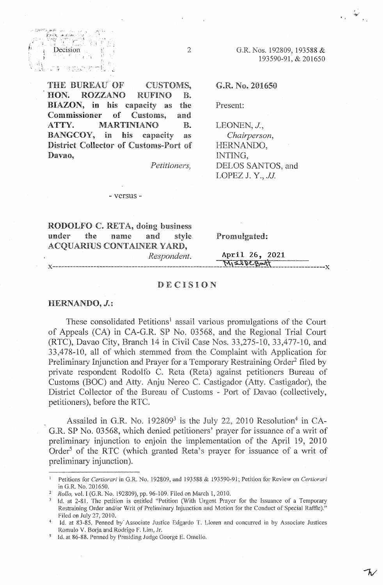THE BUREAU OF' HON. ROZZANO CUSTOMS, RUFINO B. BIAZON, in his capacity as Commissioner of Customs, ATTY. MARTINIANO the and B. BANGCOY, in his capacity as District Collector of Customs-Port of Davao,

 $Decision$   $\qquad \qquad \qquad 2$ 

. ·'·''"'··i ... **lo,,** 

*Petitioners,* 

### - versus -

G.R. Nos. 192809, 193588 & 193590-91, & 201650

G.R. No. 201650

Present:

LEONEN, J., *Chairperson,*  HERNANDO, INTING, DELOS SANTOS, and LOPEZ J. Y., JJ

RODOLFO C. RETA, doing business under the name and style Promulgated: ACQUARIUS CONTAINER YARD,

*Respondent.* . **April 26, 2021 x--.** ------------ .-------· ---- *&* -------------- **----·--·~1)C~~ ------------------x** 

### DECISION

### HERNANDO, **J.:**

.<br>Y TT /

ทระ และคว  $\mathbf{E}$ 

> These consolidated Petitions<sup>1</sup> assail various promulgations of the Court of Appeals (CA) in CA-G.R. SP No. 03568, and the Regional Trial Court (RTC), Davao City, Branch 14 in Civil Case Nos. 33,275-10, 33,477-10, and 33,478-10, all of which stemmed from the Complaint with Application for Preliminary Injunction and Prayer for a Temporary Restraining Order<sup>2</sup> filed by private respondent Rodolfo C. Reta (Reta) against petitioners Bureau of Customs (BOC) and Atty. Anju Nereo C. Castigador (Atty. Castigador), the District Collector of the Bureau of Customs - Port of Davao (collectively, petitioners), before the RTC.

> Assailed in G.R. No.  $192809<sup>3</sup>$  is the July 22, 2010 Resolution<sup>4</sup> in CA-G.R. SP No. 03568, which denied petitioners' prayer for issuance of a writ of preliminary injunction to enjoin the implementation of the April 19, 2010 Order<sup>5</sup> of the RTC (which granted Reta's prayer for issuance of a writ of preliminary injunction).

<sup>1</sup>Petitions for *Certiorari* in G.R. No. 192809, and 193588 & 193590-91; Petition for Review on *Certiorari*  in G.R. No. 201650.

<sup>2</sup>*Rollo,* vol. I (G.R. No. 192809), pp. 96-109. Filed on March I, 2010.

Id. at 2-81. The petition is entitled "Petition (With Urgent Prayer for the Issuance of a Temporary Restraining Order and/or Writ of Preliminary Injunction and Motion for the Conduct of Special Raffle)." Filed on July 27, 2010.

<sup>4</sup>Id. at 83-85, Penned by· Associate Justice Edgardo T. Uoren and concurred in by Associate Justices Romulo V. Borja and Rodrigo F. Lim, Jr.

<sup>5</sup> Id. at 86-88. Penned by Presiding Judge George E. Omelio.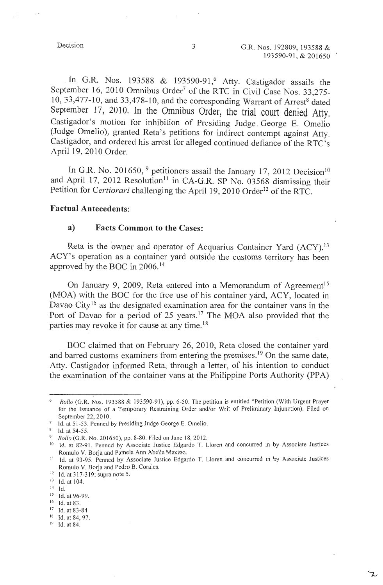In G.R. Nos. 193588 & 193590-91,<sup>6</sup> Atty. Castigador assails the September 16, 2010 Omnibus Order<sup>7</sup> of the RTC in Civil Case Nos. 33,275- $10, 33,477$ -10, and  $33,478$ -10, and the corresponding Warrant of Arrest<sup>8</sup> dated September 17, 2010. In the Omnibus Order, the trial court denied Atty. Castigador's motion for inhibition of Presiding Judge . George E. Omelio (Judge Omelio), granted Reta's petitions for indirect contempt against Atty. Castigador, and ordered his arrest for alleged continued defiance of the RTC's April 19, 2010 Order.

In G.R. No. 201650,  $9$  petitioners assail the January 17, 2012 Decision<sup>10</sup> and April 17, 2012 Resolution<sup>11</sup> in CA-G.R. SP No. 03568 dismissing their Petition for *Certiorari* challenging the April 19, 2010 Order<sup>12</sup> of the RTC.

### **Factual Antecedents:**

### **a) Facts Common to the Cases:**

Reta is the owner and operator of Acquarius Container Yard (ACY).<sup>13</sup> ACY's operation as a container yard outside the customs territory has been approved by the BOC in 2006. 14

On January 9, 2009, Reta entered into a Memorandum of Agreement<sup>15</sup> (MOA) with the BOC for the free use of his container yard, ACY, located in Davao City<sup>16</sup> as the designated examination area for the container vans in the Port of Davao for a period of 25 years.<sup>17</sup> The MOA also provided that the parties may revoke it for cause at any time. <sup>18</sup>

BOC claimed that on February 26, 2010, Reta closed the container yard and barred customs examiners from entering the premises.<sup>19</sup> On the same date, Atty. Castigador informed Reta, through a letter, of his intention to conduct the examination of the container vans at the Philippine Ports Authority (PPA)

 $8$  Id. at 54-55.

Rollo (G.R. Nos. 193588 & 193590-91), pp. 6-50. The petition is entitled "Petition (With Urgent Prayer for the Issuance of a Temporary Restraining Order and/or Writ of Preliminary Injunction). Filed on September 22, 2010.

<sup>7</sup> Id. at 51-53. Penned by Presiding Judge George E. Omelio.

<sup>&</sup>lt;sup>9</sup> *Rollo* (G.R. No. 201650), pp. 8-80. Filed on June 18, 2012.

<sup>&</sup>lt;sup>10</sup> Id. at 82-91. Penned by Associate Justice Edgardo T. Lloren and concurred in by Associate Justices Romulo V. Borja and Pamela Ann Abella Maxino.

<sup>&</sup>lt;sup>11</sup> Id. at 93-95. Penned by Associate Justice Edgardo T. Lloren and concurred in by Associate Justices Romulo V. Borja and Pedro B. Corales.

<sup>12</sup> Id. at 317-319; supra note 5.

<sup>&</sup>lt;sup>13</sup> Id. at 104.

 $14$  Id.

<sup>15</sup> Id. at 96-99.

<sup>&</sup>lt;sup>16</sup> Id. at 83. <sup>17</sup> Id. at 83-84

<sup>18</sup> Id. at 84, 97.

<sup>&</sup>lt;sup>19</sup> Id. at 84.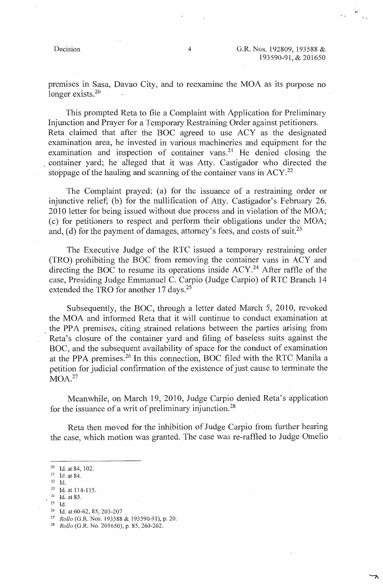premises in Sasa, Davao City, and to reexamine the MOA as its purpose no longer exists.<sup>20</sup>

This prompted Reta to file a Complaint with Application for Preliminary Injunction and Prayer for a Temporary Restraining Order against petitioners. Reta claimed that after the BOC agreed to use ACY as the designated examination area, he invested in various machineries and equipment for the examination and inspection of container vans.<sup>21</sup> He denied closing the . container yard; he alleged that it was Atty. Castigador who directed the stoppage of the hauling and scanning of the container vans in  $ACY<sup>22</sup>$ 

The Complaint prayed: (a) for the issuance of a restraining order or injunctive relief; (b) for the nullification of Atty. Castigador's February 26, 2010 letter for being issued without due process and in violation of the MOA; ( c) for petitioners to respect and perform their obligations under the MOA; and, (d) for the payment of damages, attorney's fees, and costs of suit.<sup>23</sup>

The Executive Judge of the RTC issued a temporary restraining order (TRO) prohibiting the BOC from removing the container vans in ACY and directing the BOC to resume its operations inside ACY. 24 After raffle of the case, Presiding Judge Emmanuel C. Carpio (Judge Carpio) of RTC Branch 14 extended the TRO for another 17 days.<sup>25</sup>

Subsequently, the BOC, through a letter dated March 5, 2010, revoked the MOA and informed Reta that it will continue to conduct examination at the PPA premises, citing strained relations between the parties arising from Reta's closure of the container yard and filing of baseless suits against the BOC, and the subsequent availability of space for the conduct of examination at the PPA premises.<sup>26</sup> In this connection, BOC filed with the RTC Manila a petition for judicial confirmation of the existence of just cause to terminate the  $MOA.<sup>27</sup>$ 

Meanwhile, on March 19, 2010, Judge Carpio denied Reta's application for the issuance of a writ of preliminary injunction.<sup>28</sup>

Reta then moved for the inhibition of Judge Carpio from further hearing the case, which motion was granted. The case was re-raffled to Judge Omelio

- <sup>23</sup> Id. at 114-115.<br><sup>24</sup> Id. at 85.
- *zs* Id.
- 

<sup>20</sup> Id. at 84, 102.

 $2!$  Id. at 84. 22 Id.

<sup>26</sup> Id. at 60-62, 85, 203-207 27 *Rollo* (G.R. Nos. 193588 & 193590-91), p. 20. 28 *Rollo* (G.R. No. 201650), p. 85, 260-262.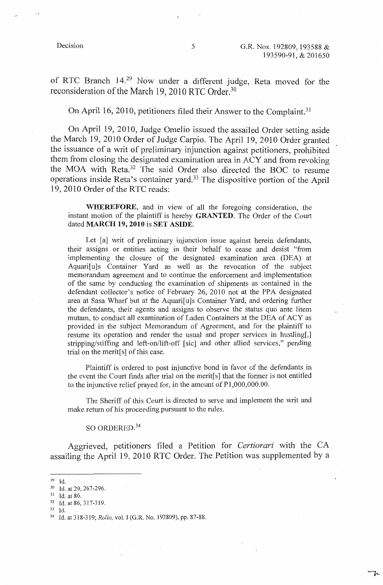ひ

of RTC Branch 14.29 Now under a different judge, Reta moved for the reconsideration of the March 19, 2010 RTC Order.<sup>30</sup>

On April 16, 2010, petitioners filed their Answer to the Complaint. <sup>31</sup>

On April 19, 2010, Judge Omelio issued the assailed Order setting aside the March 19, 2010 Order of Judge Carpio. The April 19, 2010 Order granted the issuance of a writ of preliminary injunction against petitioners, prohibited them from closing the designated examination area in ACY and from revoking the MOA with Reta.32 The said Order also directed the BOC to resume operations inside Reta's container yard. 33 The dispositive portion of the April 19, 2010 Order of the RTC reads:

**WHEREFORE,** and in view of all the foregoing consideration, the instant motion of the plaintiff is hereby **GRANTED.** The Order of the Court dated **MARCH 19, 2010** is **SET ASIDE.** 

Let [a] writ of preliminary injunction issue against herein defendants, their assigns or entities acting in their behalf to cease and desist "from implementing the closure of the designated examination area (DEA) at Aquari[u]s Container Yard as well as the revocation of the subject memorandum agreement and to continue the enforcement and implementation of the same by conducting the examination of shipments as contained in the defendant collector's notice of February 26, 2010 not at the PPA designated area at Sasa Wharf but at the Aquari[u]s Container Yard, and ordering further the defendants, their agents and assigns to observe the status quo ante litem mutam, to conduct all examination of Laden Containers at the DEA of ACY as provided in the subject Memorandum of Agreement, and for the plaintiff to resume its operation and render the usual and proper services in hustling[,] stripping/stiffing and left-on/lift-off [sic] and other allied services," pending trial on the merit[s] of this case.

Plaintiff is ordered to post injunctive bond in favor of the defendants in the event the Court finds after trial on the merit<sup>[s]</sup> that the former is not entitled to the injunctive relief prayed for, in the amount of Pl,000,000.00.

The Sheriff of this Court is directed to serve and implement the writ and make return of his proceeding pursuant to the rules.

### SO ORDERED.<sup>34</sup>

Aggrieved, petitioners filed a Petition for *Certiorari* with the CA assailing the April 19, 2010 RTC Order. The Petition was supplemented by a

- $^{29}$  Id.<br>  $^{30}$  Id. at 29, 267-296.<br>  $^{31}$  Id. at 86.
- 

 $\frac{32}{33}$  Id. at 86, 317-319.

<sup>33</sup> Id. 34 Id. at 318-319; *Rollo,* vol. I (G.R. No. 192809), pp. 87-88.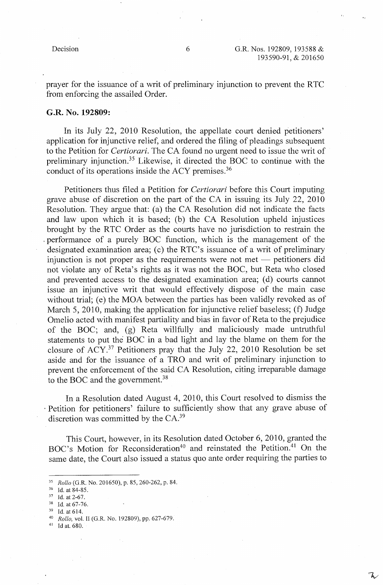prayer for the issuance of a writ of preliminary injunction to prevent the RTC from enforcing the assailed Order.

### **G.R. No. 192809:**

In its July 22, 2010 Resolution, the appellate court denied petitioners' application for injunctive relief, and ordered the filing of pleadings subsequent to the Petition for *Certiorari.* The CA found no urgent need to issue the writ of preliminary injunction.35 Likewise, it directed the BOC to continue with the conduct of its operations inside the ACY premises. <sup>36</sup>

Petitioners thus filed a Petition for *Certiorari* before this Court imputing grave abuse of discretion on the part of the CA in issuing its July 22, 2010 Resolution. They argue that: (a) the CA Resolution did not indicate the facts and law upon which it is based; (b) the CA Resolution upheld injustices brought by the RTC Order as the courts have no jurisdiction to restrain the . performance of a purely BOC function, which is the management of the designated examination area; (c) the RTC's issuance of a writ of preliminary injunction is not proper as the requirements were not met  $-$  petitioners did not violate any of Reta's rights as it was not the BOC, but Reta who closed and prevented access to the designated examination area; (d) courts cannot issue an injunctive writ that would effectively dispose of the main case without trial; (e) the MOA between the parties has been validly revoked as of March 5, 2010, making the application for injunctive relief baseless; (f) Judge Omelio acted with manifest partiality and bias in favor of Reta to the prejudice of the BOC; and, (g) Reta willfully and maliciously made untruthful statements to put the BOC in a bad light and lay the blame on them for the closure of ACY. 37 Petitioners pray that the July 22, 2010 Resolution be set aside and for the issuance of a TRO and writ of preliminary injunction to prevent the enforcement of the said CA Resolution, citing irreparable damage to the BOC and the government.<sup>38</sup>

In a Resolution dated August 4, 2010, this Court resolved to dismiss the · Petition for petitioners' failure to sufficiently show that any grave abuse of discretion was committed by the  $CA.^{39}$ 

This Court, however, in its Resolution dated October 6, 2010, granted the BOC's Motion for Reconsideration<sup>40</sup> and reinstated the Petition.<sup>41</sup> On the same date, the Court also issued a status quo ante order requiring the parties to

41 Id at. 680.

<sup>35</sup>*Rollo* (G.R. No. 201650), p. 85, 260-262, p. 84. 36 Id. at 84-85. 37 Id. at 2-67. 38 Id. at67-76. 39 Id. at 614. 40 *Rollo,* vol. II (G.R. No. 192809), pp. 627-679.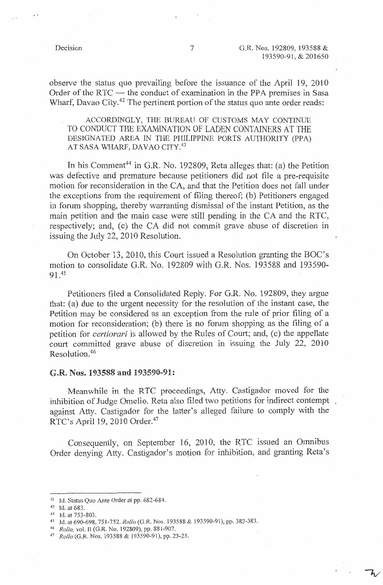observe the status quo prevailing before the issuance of the April 19, 2010 Order of the RTC  $-$  the conduct of examination in the PPA premises in Sasa Wharf, Davao City.<sup>42</sup> The pertinent portion of the status quo ante order reads:

ACCORDINGLY, THE BUREAU OF CUSTOMS MAY CONTINUE TO CONDUCT THE EXAMINATION OF LADEN CONTAINERS AT THE DESIGNATED AREA IN THE PHILIPPINE PORTS AUTHORITY (PPA) AT SASA WHARF, DAVAO CITY.<sup>43</sup>

In his Comment<sup>44</sup> in G.R. No. 192809, Reta alleges that: (a) the Petition was defective and premature because petitioners did not file a pre-requisite motion for teconsideration in the CA, and that the Petition does not fall under the exceptions from the requirement of filing thereof; (b) Petitioners engaged in forum shopping, thereby warranting dismissal of the instant Petition, as the main petition and the main case were still pending in the CA and the RTC, respectively; and, (c) the CA did not commit grave abuse of discretion in issuing the July 22,  $2010$  Resolution.

On October 13, 2010, this Court issued a Resolution granting the BOC's motion to consolidate G.R. No. 192809 with G.R. Nos. 193588 and 193590- 91.4s

Petitioners filed a Consolidated Reply. For G.R. No. 192809, they argue that:  $(a)$  due to the urgent necessity for the resolution of the instant case, the Petition may be considered as an exception from the rule of prior filing of a motion for reconsideration; (b) there is no forum shopping as the filing of a petition for *certiorari* is allowed by the Rules of Court; and, (c) the appellate court committed grave abuse of discretion in issuing the July 22, 2010 Resolution.<sup>46</sup>

### G.R. Nos. 193588 and 193590-91:

Meanwhile in the RTC proceedings, Atty. Castigador moved for the inhibition of Judge Omelio. Reta also filed two petitions for indirect contempt. against Atty. Castigador for the latter's alleged failure to comply with the RTC's April 19, 2010 Order.<sup>47</sup>

Consequently, on September 16, 2010, the RTC issued an Omnibus Order denying Atty. Castigador's motion for inhibition, and granting Reta's

<sup>&</sup>lt;sup>42</sup> Id. Status Quo Ante Order at pp. 682-684.<br><sup>43</sup> Id. at 683.<br><sup>44</sup> Id. at 753-803.<br><sup>45</sup> Id. at 690-698, 751-752. *Rollo* (G.R. Nos. 193588 & 193590-91), pp. 382-383.<br><sup>46</sup> *Rollo*, vol. II (G.R. No. 192809), pp. 881-907.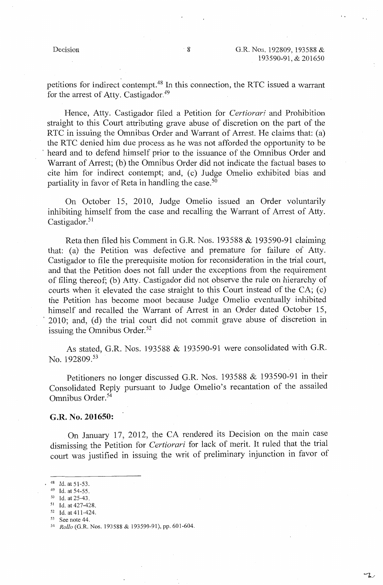$\mathcal{L}$ 

petitions for indirect contempt.48 In this connection, the RTC issued a warrant for the arrest of Atty. Castigador.<sup>49</sup>

Hence, Atty. Castigador filed a Petition for *Certiorari* and Prohibition straight to this Court attributing grave abuse of discretion on the part of the RTC in issuing the Omnibus Order and Warrant of Arrest. He claims that: (a) the RTC denied him due process as he was not afforded the opportunity to be heard and to defend himself prior to the issuance of the Omnibus Order and Warrant of Arrest; (b) the Omnibus Order did not indicate the factual bases to cite him for indirect contempt; and, (c) Judge Omelio exhibited bias and partiality in favor of Reta in handling the case. $50$ 

On October 15, 2010, Judge Omelio issued an Order voluntarily inhibiting himself from the case and recalling the Warrant of Arrest of Atty. Castigador. $51$ 

Reta then filed his Comment in G.R. Nos. 193588  $& 193590-91$  claiming that: (a) the Petition was defective and premature for failure of Atty. Castigador to file the prerequisite motion for reconsideration in the trial court, and that the Petition does not fall under the exceptions from the requirement of filing thereof; (b) Atty. Castigador did not observe the rule on hierarchy of courts when it elevated the case straight to this Court instead of the CA; (c) the Petition has become moot because Judge Omelio eventually inhibited himself and recalled the Warrant of Arrest in an Order dated October 15, 2010; and, (d) the trial court did not commit grave abuse of discretion in issuing the Omnibus Order.<sup>52</sup>

As stated, G.R. Nos. 193588 & 193590-91 were consolidated with G.R. No. 192809.53

Petitioners no longer discussed G.R. Nos. 193588 & 193590-91 in their Consolidated Reply pursuant to Judge Omelio's recantation of the assailed Omnibus Order. <sup>54</sup>

### **G.R. No. 201650:**

On January 17, 2012, the CA rendered its Decision on the main case dismissing the Petition for *Certiorari* for lack of merit. It ruled that the trial court was justified in issuing the writ of preliminary injunction in favor of

<sup>48</sup> Id. at 51-53.<br>
<sup>49</sup> Id. at 54-55.<br>
<sup>50</sup> Id. at 25-43.<br>
<sup>51</sup> Id. at 427-428.<br>
<sup>52</sup> Id. at 411-424.<br>
<sup>53</sup> See note 44.<br>
<sup>54</sup> *Rollo* (G.R. Nos. 193588 & 193590-91), pp. 601-604.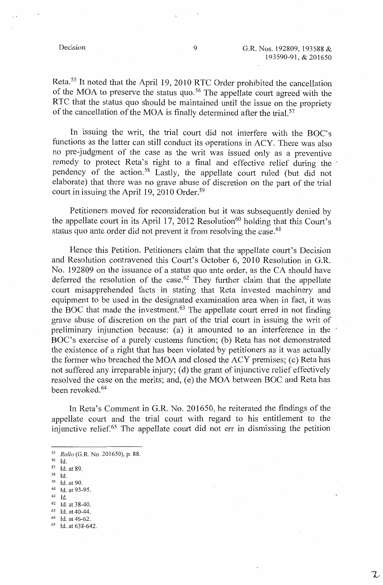Reta.<sup>55</sup> It noted that the April 19, 2010 RTC Order prohibited the cancellation of the MOA to preserve the status quo.<sup>56</sup> The appellate court agreed with the RTC that the status quo should be maintained until the issue on the propriety of the cancellation of the MOA is finally determined after the trial.<sup>57</sup>

In issuing the writ, the trial court did not interfere with the BOC's functions as the latter can still conduct its operations in ACY. There was also no pre-judgment of the case as the writ was issued only as a preventive remedy to protect Reta's right to a final and effective relief during the pendency of the action. 58 Lastly, the appellate court ruled (but did not elaborate) that there was no grave abuse of discretion on the part of the trial court in issuing the April 19, 2010 Order.<sup>59</sup>

Petitioners moved for reconsideration but it was subsequently denied by the appellate court in its April 17, 2012 Resolution<sup>60</sup> holding that this Court's status quo ante order did not prevent it from resolving the case.  $61$ 

Hence this Petition. Petitioners claim that the appellate court's Decision and Resolution contravened this Court's October 6, 2010 Resolution in G.R. No. 192809 on the issuance of a status quo ante order, as the CA should have deferred the resolution of the case.<sup>62</sup> They further claim that the appellate court misapprehended facts in stating that Reta invested machinery and equipment to be used in the designated examination area when in fact, it was the BOC that made the investment. $63$  The appellate court erred in not finding grave abuse of discretion on the part of the trial court in issuing the writ of preliminary injunction because: (a) it amounted to an interference in the BOC's exercise of a purely customs function; (b) Reta has not demonstrated the existence of a right that has been violated by petitioners as it was actually the former who breached the MOA and closed the ACY premises; (c) Reta has not suffered any irreparable injury; (d) the grant of injunctive relief effectively resolved the case on the merits; and, (e) the MOA between BOC and Reta has been revoked. 64

In Reta's Comment in G.R. No. 201650, he reiterated the findings of the appellate court and the trial court with regard to his entitlement to the injunctive relief. 65 The appellate court did not err in dismissing the petition

- $^{59}$  Id. at 90.<br>  $^{60}$  Id. at 93-95.<br>  $^{61}$  Id.
- 
- 
- 
- 
- 62 Id. at 38-40.<br>
63 Id. at 40-44.<br>
64 Id. at 46-62.<br>
65 Id. at 638-642.

<sup>55</sup>*Rollo* (G.R. No. 201650), p. 88.

 $\frac{57}{58}$  Id. at 89.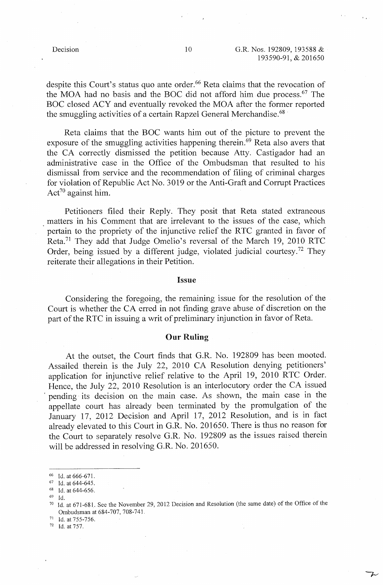despite this Court's status quo ante order.<sup>66</sup> Reta claims that the revocation of the MOA had no basis and the BOC did not afford him due process. 67 The BOC closed ACY and eventually revoked the MOA after the former reported the smuggling activities of a certain Rapzel General Merchandise.<sup>68</sup>

Reta claims that the BOC wants him out of the picture to prevent the exposure of the smuggling activities happening therein.<sup>69</sup> Reta also avers that the CA correctly dismissed the petition because Atty. Castigador had an administrative case in the Office of the Ombudsman that resulted to his dismissal from service and the recommendation of filing of criminal charges for violation of Republic Act No. 3019 or the Anti-Graft and Corrupt Practices Act<sup>70</sup> against him.

Petitioners filed their Reply. They posit that Reta stated extraneous matters in his Comment that are irrelevant to the issues of the case, which pertain to the propriety of the injunctive relief the RTC granted in favor of Reta. 71 They add that Judge Omelio's reversal of the March 19, 2010 RTC Order, being issued by a different judge, violated judicial courtesy.<sup>72</sup> They reiterate their allegations in their Petition.

### **Issue**

Considering the foregoing, the remaining issue for the resolution of the Court is whether the CA erred in not finding grave abuse of discretion on the part of the RTC in issuing a writ of preliminary injunction in favor of Reta.

### **Our Ruling**

At the outset, the Court finds that G.R. No. 192809 has been mooted. Assailed therein is the July 22, 2010 CA Resolution denying petitioners' application for injunctive relief relative to the April 19, 2010 RTC Order. Hence, the July 22, 2010 Resolution is an interlocutory order the CA issued pending its decision on the main case. As shown, the main case in the appellate court has already been terminated by the promulgation of the January 17, 2012 Decision and April 17, 2012 Resolution, and is in fact already elevated to this Court in G.R. No. 201650. There is thus no reason for the Court to separately resolve G.R. No. 192809 as the issues raised therein will be addressed in resolving G.R. No. 201650.

- $\frac{68}{69}$  Id. at 644-656.
- 

<sup>&</sup>lt;sup>66</sup> Id. at 666-671.<br><sup>67</sup> Id. at 644-645.

<sup>&</sup>lt;sup>70</sup> Id. at 671-681. See the November 29, 2012 Decision and Resolution (the same date) of the Office of the Ombudsman at 684-707, 708-74L

 $^{71}$  Id. at 755-756.<br> $^{72}$  Id. at 757

Id. at 757.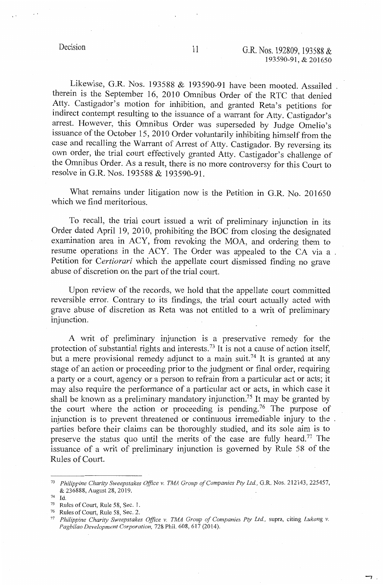$-7$ 

Likewise, G.R. Nos. 193588 & 193590-91 have been mooted. Assailed therein is the September 16, 2010 Omnibus Order of the RTC that denied Atty. Castigador's motion for inhibition, and granted Reta's petitions for indirect contempt resulting to the issuance of a warrant for Atty. Castigador's arrest. However, this Omnibus Order was superseded by Judge Omelio's issuance of the October 15, 2010 Order voluntarily inhibiting himself from the case and recalling the Warrant of Arrest of Atty. Castigador. By reversing its own order, the trial court effectively granted Atty. Castigador's challenge of the Omnibus Order. As a result, there is no more controversy for this Court to resolve in G.R. Nos. 193588 & 193590-91.

What remains under litigation now is the Petition in G.R. No. 201650 which we find meritorious.

To recall, the trial court issued a writ of preliminary injunction in its Order dated April 19, 2010, prohibiting the BOC from closing the designated examination area in ACY, from revoking the MOA, and ordering them to resume operations in the ACY. The Order was appealed to the CA via a Petition for *Certiorari* which the appellate court dismissed finding no grave abuse of discretion on the part of the trial court.

Upon review of the records, we hold that the appellate court committed reversible error. Contrary to its findings, the trial court actually acted with grave abuse of discretion as Reta was not entitled to a writ of preliminary injunction.

A writ of preliminary injunction is a preservative remedy for the protection of substantial rights and interests.<sup>73</sup> It is not a cause of action itself, but a mere provisional remedy adjunct to a main suit.<sup>74</sup> It is granted at any stage of an action or proceeding prior to the judgment or final order, requiring a party or a court, agency or a person to refrain from a particular act or acts; it may also require the performance of a particular act or acts, in which case it shall be known as a preliminary mandatory injunction.<sup>75</sup> It may be granted by the court where the action or proceeding is pending.<sup>76</sup> The purpose of injunction is to prevent threatened or continuous irremediable injury to the , parties before their claims can be thoroughly studied, and its sole aim is to preserve the status quo until the merits of the case are fully heard.<sup> $77$ </sup> The issuance of a writ of preliminary injunction is governed by Rule 58 of the Rules of Court.

74 Id.

<sup>73</sup>*Philippine Charity Sweepstakes Office v. TMA Group of Companies Pty Ltd.,* G.R. Nos. 212143, 225457, & 236888, August 28, 2019.

<sup>&</sup>lt;sup>75</sup> Rules of Court, Rule 58, Sec. 1.<br><sup>76</sup> Rules of Court, Rule 58, Sec. 2.

Philippine Charity Sweepstakes Office v. TMA Group of Companies Pty Ltd., supra, citing *Lukang v. Pagbilao Development Corporation,* 728 Phil. 608, 617 (2014).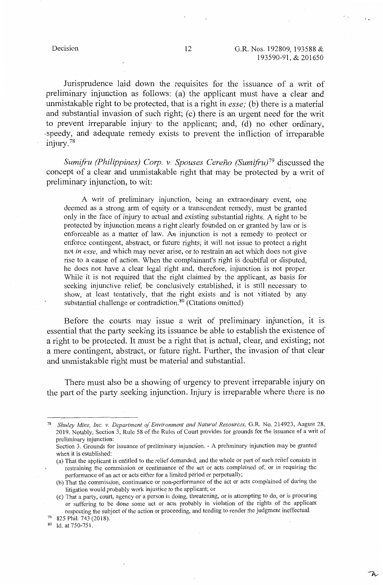フィ

Jurisprudence laid down the requisites for the issuance of a writ of preliminary injunction as follows: (a) the applicant must have a clear and unmistakable right to be protected, that is a right in *esse;* (b) there is a material and substantial invasion of such right; (c) there is an urgent need for the writ to prevent irreparable injury to the applicant; and, (d) no other ordinary, -speedy, and adequate remedy exists to prevent the infliction of irreparable injury. <sup>78</sup>

*Sumifru (Philippines) Corp. v. Spouses Cereño (Sumifru)*<sup>79</sup> discussed the concept of a clear and unmistakable right that may be protected by a writ of preliminary injunction, to wit:

A writ of preliminary injunction, being an extraordinary event, one deemed as a strong arm of equity or a transcendent remedy, must be granted only in the face of injury to actual and existing substantial rights. A right to be protected by injunction means a right clearly founded on or granted by law or is enforceable as a matter of law. An injunction is not a remedy to protect or enforce contingent, abstract, or future rights; it will not issue to protect a right not *in esse,* and which may never arise, or to restrain an act which does not give rise to a cause of action. When the complainant's right is doubtful or disputed, he does not have a clear legal right and, therefore, injunction is not proper. While it is not required that the right claimed by the applicant, as basis for seeking injunctive relief, be conclusively established, it is still necessary to show, at least tentatively, that the right exists and is not vitiated by any substantial challenge or contradiction.<sup>80</sup> (Citations omitted)

Before the courts may issue a writ of preliminary injunction, it is essential that the party seeking its issuance be able to establish the existence of a right to be protected. It must be a right that is actual, clear, and existing; not a mere contingent, abstract, or future right. Further, the invasion of that clear and unmistakable right must be material and substantial.

There must also be a showing of urgency to prevent irreparable injury on the part of the party seeking injunction. Injury is irreparable where there is no

<sup>78</sup>*Shuley Mine, Inc. v. Department of Environment and Natural Resources,* G.R. No. 214923, August 28, 2019. Notably, Section 3, Rule 58 of the Rules of Court provides for grounds for the issuance of a writ of preliminary injunction:

Section 3. Grounds for issuance of preliminary injunction. - A preliminary injunction may be granted when it is established:

<sup>(</sup>a) That the applicant is entitled to the relief demanded, and the whole or part of such relief consists in restraining the commission or continuance of the act or acts complained of, or in requiring the performance of an act or acts either for a limited period or perpetua11y;

<sup>(</sup>b) That the commission, continuance or non-performance of the act or acts complained of during the litigation would probably work injustice to the applicant; or

<sup>(</sup>c) That a party, court, agency or a person is doing, threatening, or is attempting to do, or is procuring or suffering to be done some act or acts probably in violation of the rights of the applicant respecting the subject of the action or proceeding, and tending to render the judgment ineffectual.<br><sup>79</sup> 825 Phil. 743 (2018).<br><sup>80</sup> Id. at 750-751.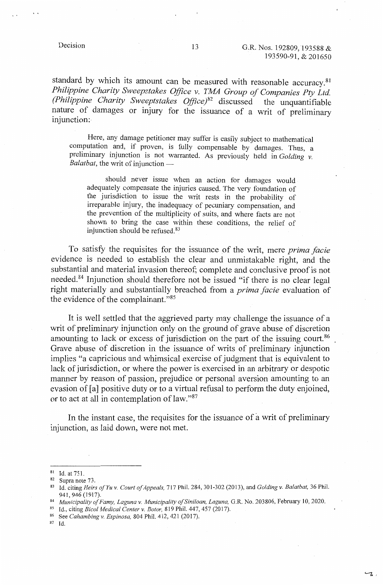standard by which its amount can be measured with reasonable accuracy.<sup>81</sup> *Philippine Charity Sweepstakes Office v. TMA Group of Companies Pty Ltd. (Philippine Charity Sweeptstakes Office)*<sup>82</sup> discussed the unquantifiable nature of damages or injury for the issuance of a writ of preliminary injunction:

Here, any damage petitioner may suffer is easily subject to mathematical computation and, if proven, is fully compensable by damages. Thus, a preliminary injunction is not warranted. As previously held in *Golding v. Balatbat*, the writ of injunction -

should never issue when an action for damages would adequately compensate the injuries caused. The very foundation of the jurisdiction to issue the writ rests in the probability of irreparable injury, the inadequacy of pecuniary compensation, and the prevention of the multiplicity of suits, and where facts are not shown to bring the case within these conditions, the relief of injunction should be refused. <sup>83</sup>

To satisfy the requisites for the issuance of the writ, mere *prima facie*  evidence is needed to establish the clear and unmistakable right, and the substantial and material invasion thereof; complete and conclusive proof is not needed. 84 Injunction should therefore not be issued "if there is no clear legal right materially and substantially breached from a *prima facie* evaluation of the evidence of the complainant."85

It is well settled that the aggrieved party may challenge the issuance of a writ of preliminary injunction only on the ground of grave abuse of discretion amounting to lack or excess of jurisdiction on the part of the issuing court.<sup>86</sup> Grave abuse of discretion in the issuance of writs of preliminary injunction implies "a capricious and whimsical exercise of judgment that is equivalent to lack of jurisdiction, or where the power is exercised in an arbitrary or despotic manner by reason of passion, prejudice or personal aversion amounting to an evasion of [a] positive duty or to a virtual refusal to perform the duty enjoined, or to act at all in contemplation of law."<sup>87</sup>

In the instant case, the requisites for the issuance of a writ of preliminary injunction, as laid down, were not met.

- 
- 87 Id.

<sup>81</sup> Id. at 751.<br><sup>82</sup> Supra note 73.<br><sup>83</sup> Id. citing *Heirs of Yu v. Court of Appeals*, 717 Phil. 284, 301-302 (2013), and *Golding v. Balatbat*, 36 Phil.

<sup>941, 946 (1917).&</sup>lt;br><sup>84</sup> Municipality of Famy, Laguna v. Municipality of Siniloan, Laguna, G.R. No. 203806, February 10, 2020.<br><sup>85</sup> Id., citing *Bicol Medical Center v. Botor*, 819 Phil. 447, 457 (2017).<br><sup>86</sup> See Cahambing v.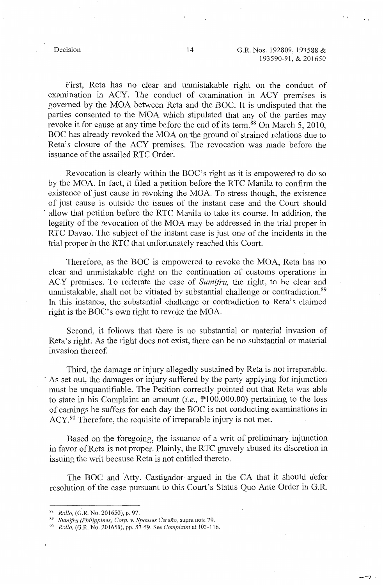$\overline{z}$ 

First, Reta has no clear and unmistakable right on the conduct of examination in ACY. The conduct of examination in ACY premises is governed by the MOA between Reta and the BOC. It is undisputed that the parties consented to the *MQA* which stipulated that any of the parties may revoke it for cause at any time before the end of its term.<sup>88</sup> On March 5, 2010, BOC has already revoked the MOA on the ground of strained relations due to Reta's closure of the ACY premises. The revocation was made before the issuance of the assailed RTC Order.

Revocation is clearly within the BOC's right as it is empowered to do so by the MOA. In fact, it filed a petition before the RTC Manila to confirm the existence of just cause in revoking the MOA. To stress though, the existence of just cause is outside the issues of the instant case and the Court should allow that petition before the RTC Manila to take its course. In addition, the legality of the revocation of the MOA may be addressed in the trial proper in RTC Davao. The subject of the instant case is just one of the incidents in the trial proper in the RTC that unfortunately reached this Court.

Therefore, as the BOC is empowered to revoke the MOA, Reta has no clear and unmistakable right on the continuation of customs operations in ACY premises. To reiterate the case of *Sumifru,* the right, to be clear and unmistakable, shall not be vitiated by substantial challenge or contradiction.<sup>89</sup> In this instance, the substantial challenge or contradiction to Reta's claimed right is the BOC's own right to revoke the MOA.

Second, it follows that there is no substantial or material invasion of Reta's right. As the right does not exist, there can be no substantial or material invasion thereof.

Third, the damage or injury allegedly sustained by Reta is not irreparable. As set out, the damages or injury suffered by the party applying for injunction must be unquantifiable. The Petition correctly pointed out that Reta was able to state in his Complaint an amount *(i.e.,* Pl00,000.00) pertaining to the loss of earnings he suffers for each day the BOC is not conducting examinations in ACY.<sup>90</sup> Therefore, the requisite of irreparable injury is not met.

Based on the foregoing, the issuance of a writ of preliminary injunction in favor of Reta is not proper. Plainly, the RTC gravely abused its discretion in issuing the writ because Reta is not entitled thereto.

The BOC and Atty. Castigador argued in the CA that it should defer resolution of the case pursuant to this Court's Status Quo Ante Order in G.R.

<sup>88</sup>*Rollo,* (G.R. No. 201650), p. 97. 89 *Sumifru (Philippines) Corp. v. Spouses Cerefio,* supra note 79. 90 *Rollo,* (G.R. No. 201650), pp. 57-59. See *Complaint* at 103-116.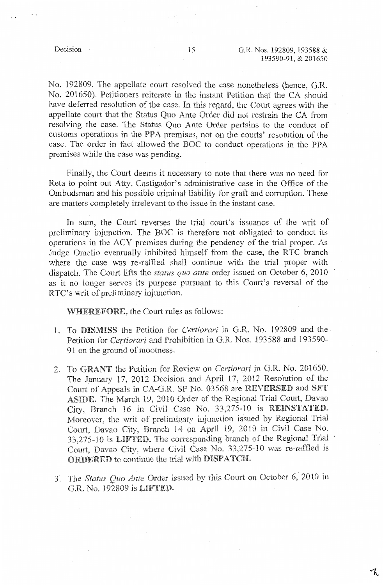No. 192809. The appellate court resolved the case nonetheless (hence, G.R. No. 201650). Petitioners reiterate in the instant Petition that the CA should have deferred resolution of the case. In this regard, the Court agrees with the appellate court that the Status Quo Ante Order did not restrain the CA from resolving the case. The Status Quo Ante Order pertains to the conduct of customs operations in the PPA premises, not on the courts' resolution of the case. The order in fact allowed the BOC to conduct operations in the PPA premises while the case was pending.

Finally, the Court deems it necessary to note that there was no need for Reta to point out Atty. Castigador's administrative case in the Office of the Ombudsman and his possible criminal liability for graft and corruption. These are matters completely irrelevant to the issue in the instant case.

In sum, the Court reverses the trial court's issuance of the writ of preliminary injunction. The BOC is therefore not obligated to conduct its operations in the ACY premises during the pendency of the trial proper. As Judge Omelio eventually inhibited himself from the case, the RTC branch where the case was re-raffled shall continue with the trial proper with dispatch. The Court lifts the *status quo ante* order issued on October 6, 2010 as it no longer serves its purpose pursuant to this Court's reversal of the RTC's writ of preliminary injunction.

WHEREFORE, the Court rules as follows:

- 1. To DISMISS the Petition for Certiorari in G.R. No. 192809 and the Petition for *Certiorari* and Prohibition in G.R. Nos. 193588 and 193590- 91 on the ground of mootness.
- 2. To GRANT the Petition for Review on *Certiorari* in G.R. No. 201650. The January 17, 2012 Decision and April 17, 2012 Resolution of the Court of Appeals in CA-G,R. SP No. 03568 are REVERSED and SET ASIDE. The March 19, 2010 Order of the Regional Trial Court, Davao City, Branch 16 in Civil Case No. 33,275-10 is REINSTATED. Moreover, the writ of preliminary injunction issued by Regional Trial Court, Davao City, Branch 14 on April 19, 2010 in Civil Case No. 33,275-10 is LIFTED. The corresponding branch of the Regional Trial Court, Davao City, where Civil Case No. 33,275-10 was re-raffled is **ORDERED** to continue the trial with **DISPATCH**.
- 3. The *Status Qua Ante* Order issued by this Court on October 6, 2010 in G.R. No. 192809 is LIFTED.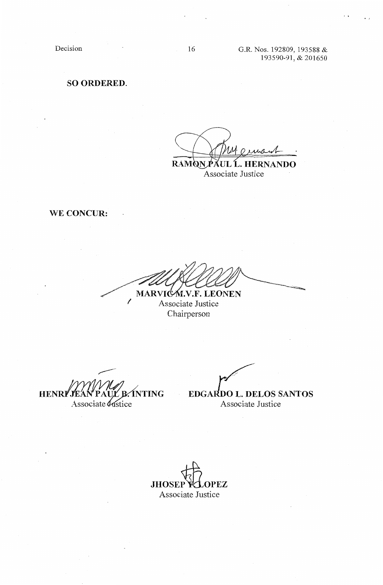Decision

# **SO ORDERED.**

**RAMQNPAUL .. HERNANDO** 

Associate Justice

**WE CONCUR:** 

**~~~** MARVIC<sub>M.V.F.</sub> LEONEN

*1* Associate Justice Chairperson

**HENRI JEAN PAUL B. INTING**<br>Associate *bustice* 

 $\widetilde{m}$ ,  $\widetilde{r}$ **EDGARDO L. DELOS SANTOS** 

Associate Justice

**JHOSEP VLOPEZ** Associate Justice

16 G.R. Nos. 192809, 193588 & 193590-91, & 201650